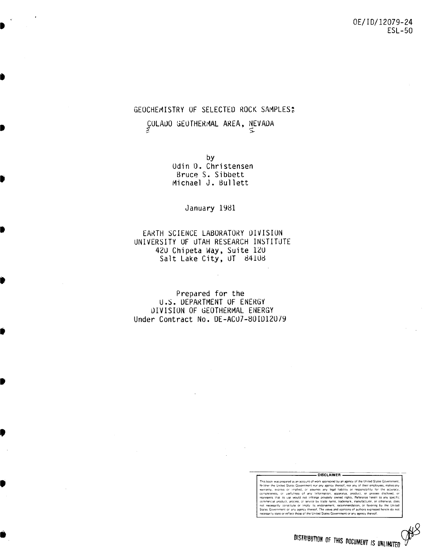## GEOCHEMISTRY OF SELECTED ROCK SAMPLES:

CULADO GEOTHERMAL AREA, NEVADA

by Odin D. Christensen Bruce S. Sibbett Michael J. Bullett

January 1981

## EARTH SCIENCE LABORATORY DIVISION UNIVERSITY OF UTAH RESEARCH INSTITUTE 420 Chipeta Way, Suite 120 Salt Lake City, UT 84108

Prepared for the U.S. DEPARTMENT OF ENERGY DIVISION OF GEOTHERMAL ENERGY Under Contract No. DE-ACU7-80ID12079

DISCLAIMER

This book was prepared as an account of work sponsored by an agency of the United States Government, This book was prepared as an account of work sponsored by an agency of the United States Government, Neither He United States Government or any agency thereof, nor any of their employees, make warranty, express or implied,

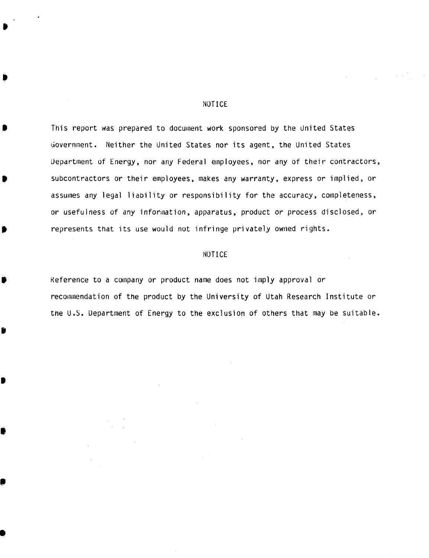### NOTICE

•

..

•

•

t

•

•

•

,

•

This report was prepared to document work sponsored by the united States Government. Neither the United States nor its agent, the United States Uepartment of Energy, nor any Federal employees, nor any of their contractors, subcontractors or their employees, makes any warranty, express or implied, or assumes any legal liability or responsibility for the accuracy, completeness, or usefulness of any information, apparatus, product or process disclosed, or represents that its use would not infringe privately owned rights.

### NOTICE

Reference to a company or product name does not imply approval or recommendation of the product by the University of Utah Research Institute or the U.S. Uepartment of Energy to the exclusion of others that may be suitable.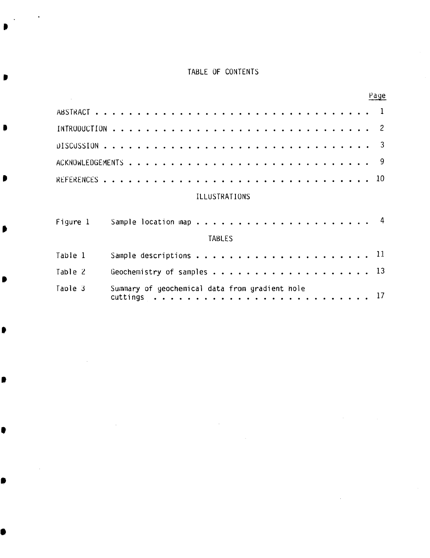## TABLE OF CONTENTS

Ð

Ω

|                                                           | Page                       |
|-----------------------------------------------------------|----------------------------|
|                                                           |                            |
|                                                           | $\overline{\phantom{0}}^2$ |
|                                                           | -3                         |
|                                                           | 9                          |
|                                                           | 10 <sup>°</sup>            |
| <b>ILLUSTRATIONS</b>                                      |                            |
| Figure 1<br><b>TABLES</b>                                 |                            |
| Table 1                                                   |                            |
| Table 2                                                   |                            |
| Taple 3<br>Summary of geochemical data from gradient hole |                            |
|                                                           |                            |

 $\mathcal{L}^{\text{max}}_{\text{max}}$ 

 $\sim$ 

 $\mathcal{A}$ 

 $\sim 10^{11}$  km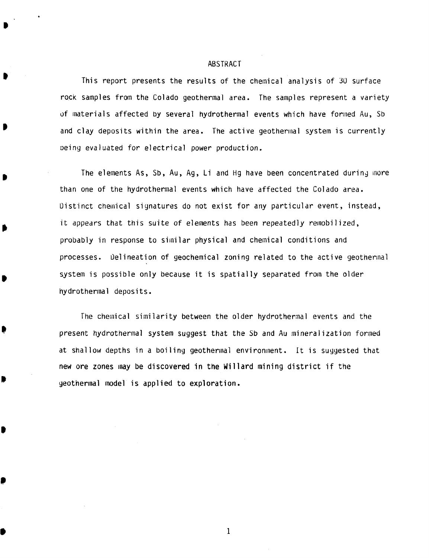#### ABSTRACT

<span id="page-3-0"></span> $\blacksquare$ 

•

•

•

t

•

.,

•

This report presents the results of the chemical analysis of 30 surface rock samples from the Colado geothermal area. The samples represent a variety uf materials affected by several hydrothermal events which have formed Au, Sb and clay deposits within the area. The active geothermal system is currently Deing evaluated for electrical power production.

The elements As, Sb, Au, Ag, Li and Hg have been concentrated during more than one of the hydrothermal events which have affected the Colado area. Distinct chemical signatures do not exist for any particular event, instead, it appears that this suite of elements has been repeatedly remobilized, probably in response to similar physical and chemical conditions and processes. Oelineation of geochemical zoning related to the active geothennal system is possible only because it is spatially separated from the older hydrothermal deposits.

fhe chemical similarity between the older hydrothermal events and the present hydrothermal system suggest that the Sb and Au mineralization formed at shallow depths in a boiling geothermal environment. It is suggested that new ore zones may be discovered in the Willard mining district if the geothermal model is applied to exploration •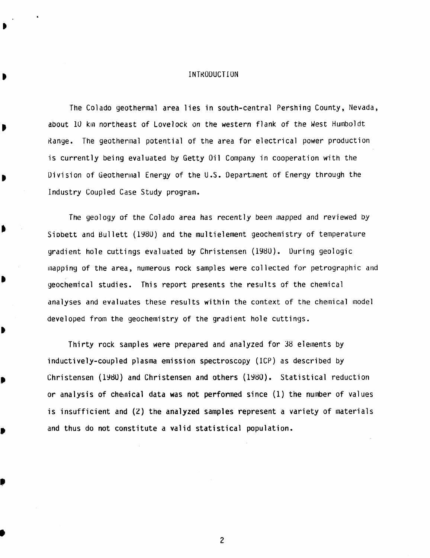### INTKODUCTION

<span id="page-4-0"></span>The Colado geothermal area lies in south-central Pershing County, Nevada, about 10 km northeast of Lovelock on the western flank of the West Humboldt Kange. The geothermal potential of the area for electrical power production is currently being evaluated by Getty Oil Company in cooperation with the Division of Geothermal Energy of the U.S. Department of Energy through the Industry Coupled Case Study program.

The geology of the Colado area has recently been mapped and reviewed by Siobett and Bullett (198U) and the multielement geochemistry of temperature gradient hole cuttings evaluated by Christensen (198U). During geologic Inapping of the area, numerous rock samples were collected for petrographic and geochemical studies. This report presents the results of the chemical analyses and evaluates these results within the context of the chemical model developed from the geochemistry of the gradient hole cuttings.

•

•

,

•

Thirty rock samples were prepared and analyzed for 38 elements by inductively-coupled plasma emission spectroscopy (ICP) as described by Christensen (198U) and Christensen and others (1980). Statistical reduction or analysis of chelnical data was not performed since (1) the number of values is insufficient and (2) the analyzed samples represent a variety of materials and thus do not constitute a valid statistical population.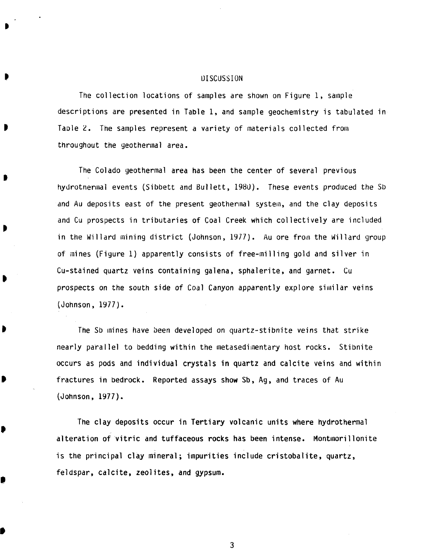### **DISCUSSION**

<span id="page-5-0"></span>The collection locations of samples are shown on Figure 1, sample descriptions are presented in Table 1, and sample geochemistry is tabulated in Taole 2. The samples represent a variety of materials collected from throughout the geothermal area.

The Colado geothermal area has been the center of several previous hydrotnermal events (Sibbett and Bullett, 1980). These events produced the Sb and Au deposits east of the present geothermal system, and the clay deposits and Cu prospects in tributaries of Coal Creek which collectively are included in the Willard mining district (Johnson, 1977). Au ore from the Willard group of mines (Figure 1) apparently consists of free-milling gold and silver in Cu-stained quartz veins containing galena, sphalerite, and garnet. Cu prospects on the south side of Coal Canyon apparently explore similar veins (Johnson, 1977).

I

•

•

•

 $\bullet$ 

The Sb mines have been developed on quartz-stibnite veins that strike nearly parallel to bedding within the metasedimentary host rocks. Stibnite occurs as pods and individual crystals in quartz and calcite veins and within fractures in bedrock. Reported assays show Sb, Ag, and traces of Au (Johnson, 1977).

The clay deposits occur in Tertiary volcanic units where hydrothermal alteration of vitric and tuffaceous rocks has been intense. Montmorillonite is the principal clay mineral; impurities include cristobalite, quartz, feldspar, calcite, zeolites, and gypsum.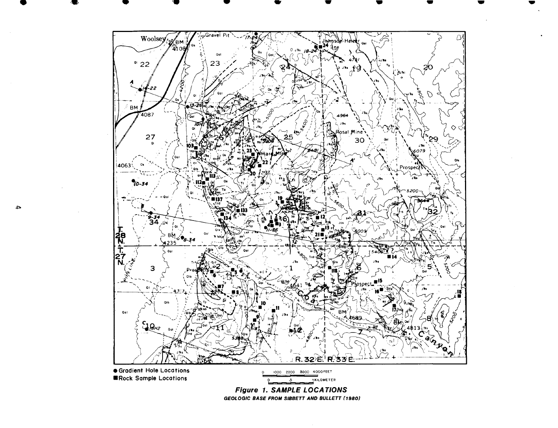<span id="page-6-0"></span>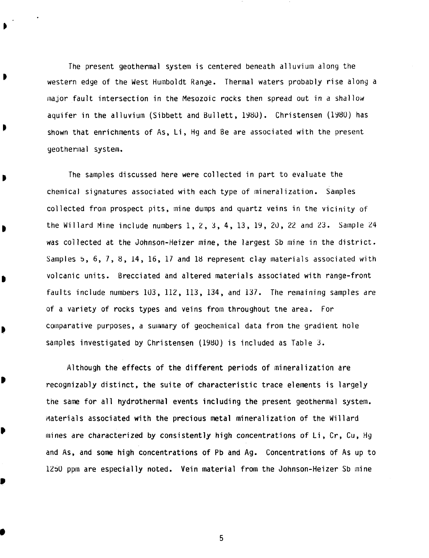<span id="page-7-0"></span>The present geothermal system is centered beneath alluvium along the western edge of the West Humboldt Range. Thermal waters probably rise along a major fault intersection in the Mesozoic rocks then spread out in a shallow aquifer in the alluvium (Sibbett and Bullett, 1980). Christensen (1980) has shown that enrichments of As, Li, Hg and Be are associated with the present geothennal system.

The samples discussed here were collected in part to evaluate the chemical signatures associated with each type of mineralization. Samples collected from prospect pits, mine dumps and quartz veins in the vicinity of the Willard Mine include numbers 1, 2, 3, 4,13, 19, 20, 22 and 23. Sample 24 was collected at the Johnson-Heizer mine, the largest Sb mine in the district. Samples 5,  $6$ ,  $7$ ,  $8$ ,  $14$ ,  $16$ ,  $17$  and 18 represent clay materials associated with volcanic units. Brecciated and altered materials associated with range-front faults include numbers 103, 112, 113, 134, and 137. The remaining samples are of a variety of rocks types and veins from throughout the area. For comparative purposes, a summary of geochemical data from the gradient hole samples investigated by Christensen (1980) is included as Table  $3$ .

•

 $,$ 

Þ

•

Although the effects of the different periods of mineralization are recognizably distinct, the suite of characteristic trace elements is largely the same for all hydrothermal events including the present geothermal system. Materials associated with the precious metal mineralization of the Willard mines are characterized by consistently high concentrations of Li, Cr, Cu, Hg and As, and some high concentrations of Pb and Ag. Concentrations of As up to 1250 ppm are especially noted. Vein material from the Johnson-Heizer Sb mine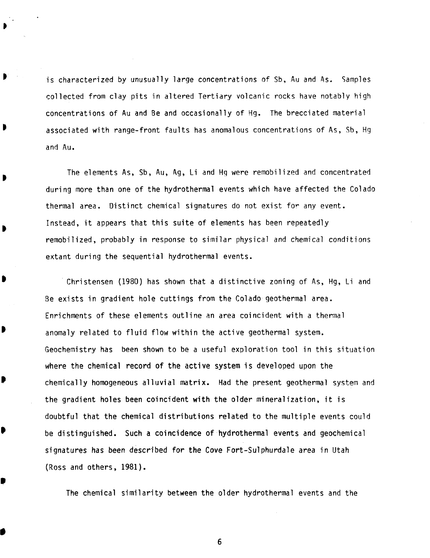is characterized by unusually large concentrations of Sb, Au and As. Samples collected from clay pits in altered Tertiary volcanic rocks have notably high concentrations of Au and Be and occasionally of Hg. The brecciated material associated with range-front faults has anomalous concentrations of As, Sb, Hg and Au.

<span id="page-8-0"></span>•

•

•

•

•

The elements As. Sb. Au. Ag. Li and Hg were remobilized and concentrated during more than one of the hydrothermal events which have affected the Colada thermal area. Distinct chemical signatures do not exist for any event. Instead. it appears that this suite of elements has been repeatedly remobilized, probably in response to similar physical and chemical conditions extant during the sequential hydrothermal events.

Christensen (1980) has shown that a distinctive zoning of As, Hg, Li and Be exists in gradient hole cuttings from the Colado geothermal area. Enrichments of these elements outline an area coincident with a thermal anomaly related to fluid flow within the active geothermal system. Geochemistry has been shown to be a useful exploration tool in this situation where the chemical record of the active system is developed upon the chemically homogeneous alluvial matrix. Had the present geothermal system and the gradient holes been coincident with the older mineralization. it is doubtful that the chemical distributions related to the multiple events could be distinguished. Such a coincidence of hydrothermal events and geochemical signatures has been described for the Cove Fort-Sulphurdale area in Utah (Ross and others. 1981).

The chemical similarity between the older hydrothermal events and the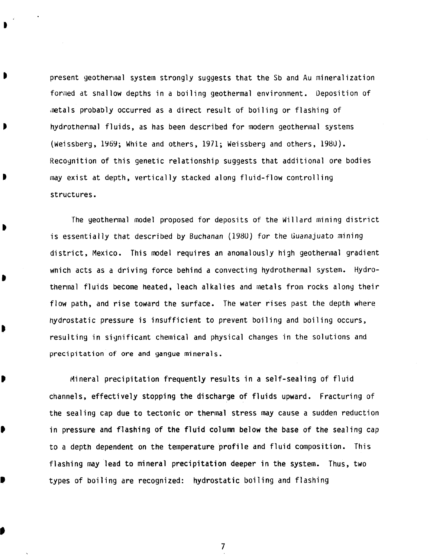present geothermal system strongly suggests that the Sb and Au mineralization formed at snallow depths in a boiling geothermal environment. Deposition of ,retals probably occurred as a direct result of boiling or flashing of hydrothermal fluids, as has been described for modern geothermal systems (Weissberg, 1Y6Y; White and others, 1971; Weissberg and others, 1980). Recognition of this genetic relationship suggests that additional ore bodies may exist at depth, vertically stacked along fluid-flow controlling structures.

<span id="page-9-0"></span>t

•

•

B

D

,

•

,

The geothermal model proposed for deposits of the Willard mining district is essentially that described by Buchanan (1980) for the Guanajuato mining district, Mexico. This model requires an anomalously high geothermal gradient wnich acts as a driving force behind a convecting hydrothermal system. Hydrothermal fluids become heated, leach alkalies and metals from rocks along their flow path, and rise toward the surface. The water rises past the depth where hydrostatic pressure is insufficient to prevent boiling and boiling occurs, resulting in significant chemical and physical changes in the solutions and preCipitation of ore and gangue minerals.

Mineral precipitation frequently results in a self-sealing of fluid channels, effectively stopping the discharge of fluids upward. Fracturing of the sealing cap due to tectonic or thermal stress may cause a sudden reduction in pressure and flashing of the fluid column below the base of the sealing cap to a depth dependent on the temperature profile and fluid composition. This flashing may lead to mineral precipitation deeper in the system. Thus, two types of boiling are recognized: hydrostatic boiling and flashing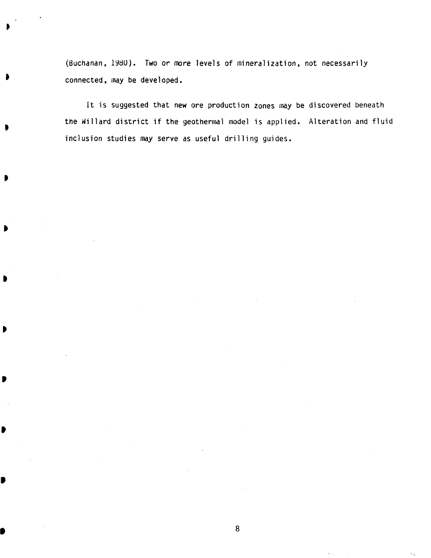<span id="page-10-0"></span>(Buchanan, 1980). Two or more levels of mineralization, not necessarily connected, may be developed.

•

t

•

•

•

It is suggested that new ore production zones may be discovered beneath tne Willard district if the geothermal model is applied. Alteration and fluid inclusion studies may serve as useful drilling guides.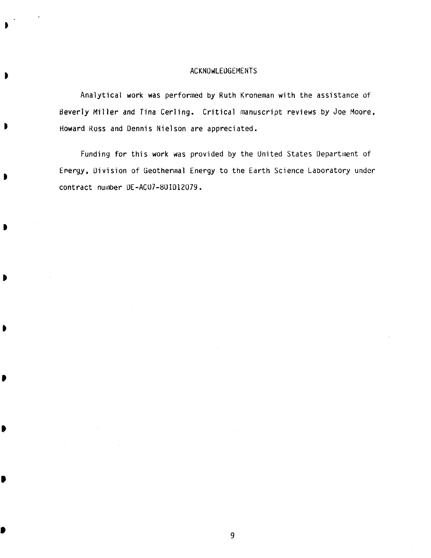## ACKNOwLEUGEMENTS

<span id="page-11-0"></span>Analytical work was performed by Ruth Kroneman with the assistance of Beverly Miller and Tina Cerling. Critical manuscript reviews by Joe Moore, Howard Ross and Dennis Nielson are appreciated.

Funding for this work was provided by the United States Department of Erergy, Division of Geothermal Energy to the Earth Science Laboratory under contract number DE-AC07-80ID12079.

•

,

•

•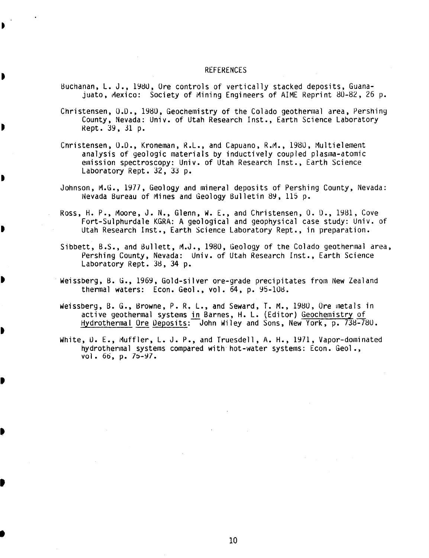#### REFERENCES

<span id="page-12-0"></span>Buchanan, L. J., 1980, Ore controls of vertically stacked deposits, Guanajuato, Mexico: Society of Mining Engineers of AIME Reprint 80-82, 26 p.

Christensen, 0.0., 1980, Geochemistry of the Co1ado geothermal area, Pershing County, Nevada: Univ. of Utah Research Inst., Earth Science Laboratory Rept. 39, 31 p.

Christensen, 0.0., Kroneman, R.L., and Capuano, R.M., 1980, Multielement analysis of geologic materials by inductively coupled plasma-atomic emission spectroscopy: Univ. of Utah Research Inst., Earth Science Laboratory Rept. 32, 33 p.

•

•

•

•

Johnson, M.G., 1977, Geology and mineral deposits of Pershing County, Nevada: Nevada Bureau of Mines and Geology Bulletin 89, 115 p.

Ross, H. P., Moore, J. N., Glenn, W. E., and Christensen, O. D., 1981, Cove Fort-Su1phurda1e KGRA: A geological and geophysical case study: Univ. of Utah Research Inst., Earth Science Laboratory Rept., in preparation.

Sibbett, B.S., and Bullett, M.J., 1980, Geology of the Colado geothermal area, Pershing County, Nevada: Univ. of Utah Research Inst., Earth Science Laboratory Rept. 38, 34 p.

Weissberg, B. G., 1969, Gold-silver ore-grade precipitates from New Zealand thermal waters:  $Econ. Geol.$ , vol.  $64$ , p.  $95-108$ .

Weissberg, B. G., Browne, P. R. L., and Seward, T. M., 1980, Ore metals in active geothermal systems in Barnes, H. L. (Editor) Geochemistry of Hydrothermal Ore Deposits: John Wiley and Sons, New York, p. 738-780.

White, D. E., Muffler, L. J. P., and Truesdell, A. H., 1971, Vapor-dominated hydrothermal systems compared with hot-water systems: Econ. Geol., vol. 66, p. 75-97.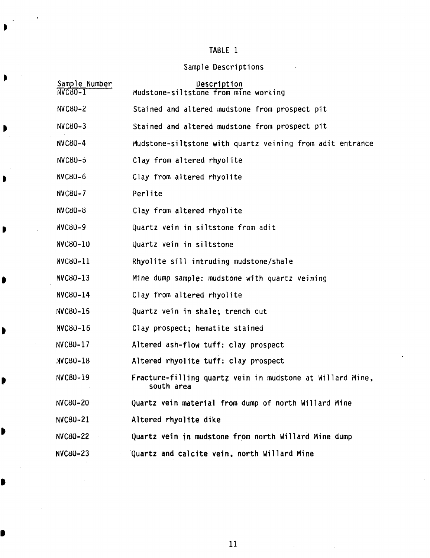# TABLE 1

# Sample Descriptions

| Sample Number<br>NVC80-1 | Description<br>Mudstone-siltstone from mine working                     |
|--------------------------|-------------------------------------------------------------------------|
| <b>NVC80-2</b>           | Stained and altered mudstone from prospect pit                          |
| <b>NVC80-3</b>           | Stained and altered mudstone from prospect pit                          |
| <b>NVC80-4</b>           | Mudstone-siltstone with quartz veining from adit entrance               |
| <b>NVC80-5</b>           | Clay from altered rhyolite                                              |
| NVC80-6                  | Clay from altered rhyolite                                              |
| <b>NVC80-7</b>           | Perlite                                                                 |
| <b>NVC80-8</b>           | Clay from altered rhyolite                                              |
| <b>NVC80-9</b>           | Quartz vein in siltstone from adit                                      |
| NVC80-10                 | Quartz vein in siltstone                                                |
| NVC80-11                 | Rhyolite sill intruding mudstone/shale                                  |
| NVC80-13                 | Mine dump sample: mudstone with quartz veining                          |
| NVC80-14                 | Clay from altered rhyolite                                              |
| NVC80-15                 | Quartz vein in shale; trench cut                                        |
| NVC80-16                 | Clay prospect; hematite stained                                         |
| NVC80-17                 | Altered ash-flow tuff: clay prospect                                    |
| $NVC80-18$               | Altered rhyolite tuff: clay prospect                                    |
| NVC80-19                 | Fracture-filling quartz vein in mudstone at Willard Mine,<br>south area |
| <b>NVC80-20</b>          | Quartz vein material from dump of north Willard Mine                    |
| NVC80-21                 | Altered rhyolite dike                                                   |
| <b>NVC80-22</b>          | Quartz vein in mudstone from north Willard Mine dump                    |
| <b>NVC80-23</b>          | Quartz and calcite vein, north Willard Mine                             |

•

<span id="page-13-0"></span>È

 $\blacksquare$ 

•

•

•

I

•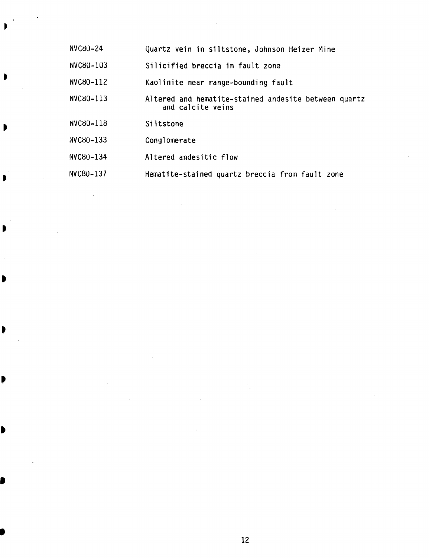| NVC80-24  | Quartz vein in siltstone, Johnson Heizer Mine                             |
|-----------|---------------------------------------------------------------------------|
| NVC80-103 | Silicified breccia in fault zone                                          |
| NVC80-112 | Kaolinite near range-bounding fault                                       |
| NVC80-113 | Altered and hematite-stained andesite between quartz<br>and calcite veins |
| NVC80-118 | Siltstone                                                                 |
| NVC80-133 | Conglomerate                                                              |
| NVC80-134 | Altered andesitic flow                                                    |
| NVC80-137 | Hematite-stained quartz breccia from fault zone                           |

<span id="page-14-0"></span>•

•

•

•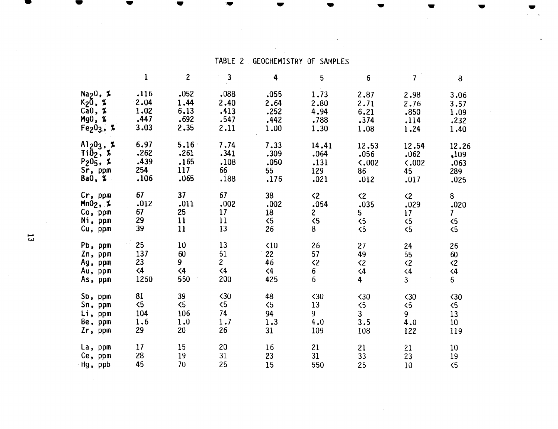## TABLE 2 GEOCHEMISTRY OF SAMPLES

<span id="page-15-0"></span>

|                     | $\mathbf{1}$ | $\overline{c}$ | $\mathbf{3}$   | 4              | 5                   | 6                   | $\overline{I}$      | 8               |
|---------------------|--------------|----------------|----------------|----------------|---------------------|---------------------|---------------------|-----------------|
| $Na20$ , %          | .116         | .052           | .088           | .055           | 1.73                | 2.87                | 2.98                | 3.06            |
| K <sub>2</sub> Ō, % | 2.04         | 1.44           | 2.40           | 2.64           | 2.80                | 2.71                | 2.76                | 3.57            |
| CaO,  %             | 1.02         | 6.13           | .413           | .252           | 4.94                | 6.21                | .850                | 1.09            |
| Mg0, %              | .447         | .692           | .547           | .442           | .788                | .374                | .114                | .232            |
| $Fe203$ , %         | 3.03         | 2.35           | 2.11           | 1.00           | 1.30                | 1.08                | 1.24                | 1.40            |
| $Al_2O_3$ , %       | 6.97         | 5.16           | 7.74           | 7.33           | 14.41               | 12.53               | 12.54               | 12.26           |
| $Ti\bar{0}_2$ , %   | .262         | .261           | .341           | .309           | .064                | .056                | .062                | .109            |
| $P_20_5$ , %        | .439         | .165           | .108           | .050           | .131                | $\zeta$ ,002        | 0.002               | .063            |
| Sr, ppm             | 254          | 117            | 66             | 55             | 129                 | 86                  | 45                  | 289             |
| Ba0, %              | .106         | .065           | .188           | .176           | .021                | .012                | .017                | .025            |
| $Cr$ , ppm          | 67           | 37             | 67             | 38             | $\langle 2 \rangle$ | $\langle 2 \rangle$ | $\langle 2$         | 8               |
| $Mn02$ , %          | .012         | .011           | .002           | .002           | .054                | .035                | .029                | .020            |
| Co, ppm             | 67           | 25             | 17             | 18             | $\overline{2}$      | 5                   | 17                  | $\overline{I}$  |
| Ni, ppm             | 29           | 11             | 11             | $\langle 5$    | $\langle 5$         | 5 <sub>6</sub>      | 5 <sub>6</sub>      | $\overline{5}$  |
| Cu, ppm             | 39           | 11             | 13             | 26             | 8                   | $\langle 5$         | 5 <sub>6</sub>      | $\langle 5$     |
| Pb, ppm             | 25           | 10             | 13             | $\triangle$ 10 | 26                  | 27                  | 24                  | 26              |
| Zn, ppm             | 137          | 60             | 51             | 22             | 57                  | 49                  | 55                  | 60              |
| Ag, ppm             | 23           | 9              | 2 <sup>1</sup> | 46             | $\langle 2$         | $\langle 2$         | $\langle 2 \rangle$ | $\langle 2$     |
| Au, ppm             | $\leq 4$     | $\langle 4$    | $\langle 4$    | $\leq 4$       | 6                   | $\langle 4$         | $\langle 4$         | $\langle 4$     |
| As, ppm             | 1250         | 550            | 200            | 425            | 6                   | $\overline{4}$      | 3 <sup>1</sup>      | 6               |
| Sb, ppm             | 81           | 39             | $\langle 30$   | 48             | $30$                | $\triangle$ 30      | $\triangle$ 30      | $\langle 30$    |
| Sn, ppm             | $\langle 5$  | $\langle 5$    | $\langle 5$    | $\langle 5$    | 13                  | $\leq$              | $\overline{5}$      | $\langle 5$     |
| Li, ppm             | 104          | 106            | 74             | 94             | 9                   | $\overline{3}$      | 9                   | 13              |
| Be, ppm             | 1.6          | 1.0            | 1.7            | 1.3            | 4.0                 | 3.5                 | 4.0                 | 10 <sup>°</sup> |
| Zr, ppm             | 29           | 20             | 26             | 31             | 109                 | 108                 | 122                 | 119             |
| La, ppm             | 17           | 15             | 20             | 16             | 21                  | 21                  | 21                  | 10              |
| Ce, ppm             | 28           | 19             | 31             | 23             | 31                  | 33                  | 23                  | 19              |
| Hg, ppb             | 45           | 70             | 25             | 15             | 550                 | 25                  | 10                  | $\overline{5}$  |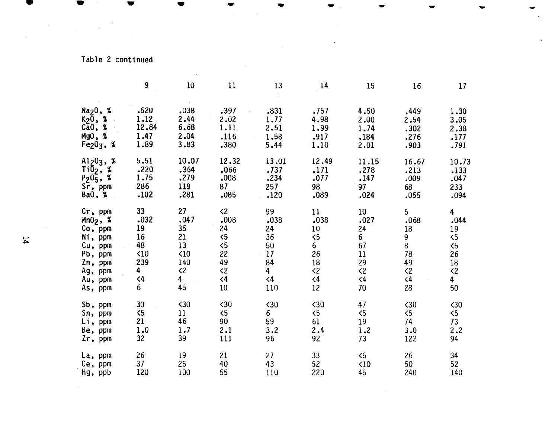# Table 2 continued

 $\mathcal{L}$ 

|                             | 9              | 10             | 11             | 13              | 14                  | 15                | 16                  | 17             |
|-----------------------------|----------------|----------------|----------------|-----------------|---------------------|-------------------|---------------------|----------------|
| Na20, %<br>$K_2\bar{0}$ , % | .520<br>1.12   | .038<br>2.44   | .397<br>2.02   | .831<br>1.77    | .757<br>4.98        | 4.50<br>2.00      | .449<br>2.54        | 1.30<br>3.05   |
| $\overline{\text{Ca0}}$ , % | 12.84          | 6.68           | 1.11           | 2.51            | 1.99                | 1.74              | .302                | 2.38           |
| Mg0, %                      | 1.47           | 2.04           | .116           | 1.58            | .917                | .184              | .276                | .177           |
| $Fe203$ , %                 | 1.89           | 3.83           | .380           | 5.44            | 1.10                | 2.01              | .903                | .791           |
| $Al_2O_3$ , %               | 5.51           | 10.07          | 12.32          | 13.01           | 12.49               | 11.15             | 16.67               | 10.73          |
| $Ti\overline{0}_2$ , %      | .220           | .364           | .066           | .737            | .171                | .278              | .213                | .133           |
| $P_20\bar{5}$ , %           | 1.75           | .279           | .008           | .234            | .077                | .147              | .009                | .047           |
| $Sr$ , ppm                  | 286            | 119            | 87             | 257             | 98                  | 97                | 68                  | 233            |
| BaO, %                      | .102           | .281           | .085           | .120            | .089                | .024              | .055                | .094           |
| Cr, ppm                     | 33             | 27             | $\langle 2$    | 99              | 11                  | 10                | 5                   | 4              |
| $Mn02$ , %                  | .032           | .047           | .008           | .038            | .038                | .027              | .068                | .044           |
| $Co$ , ppm                  | 19             | 35             | 24             | 24              | 10                  | 24                | 18                  | 19             |
| Ni, ppm                     | 16             | 21             | $\langle 5$    | 36              | $\langle 5$         | $6\overline{6}$   | 9                   | $\overline{5}$ |
| Cu, ppm                     | 48             | 13             | $\overline{5}$ | 50              | 6                   | 67                | 8 <sub>1</sub>      | $\langle 5$    |
| Pb, ppm                     | $\triangle$ 10 | $\triangle$ 10 | 22             | 17              | 26                  | 11                | 78                  | 26             |
| Zn, ppm                     | 239            | 140            | 49             | 84              | 18                  | 29                | 49                  | 18             |
| Ag, ppm                     | $\overline{4}$ | $\langle 2$    | $\langle 2$    | $\overline{4}$  | $\langle 2 \rangle$ | $\langle 2$       | $\langle 2 \rangle$ | $\langle 2$    |
| Au, ppm                     | $\langle 4$    | 4              | $\langle 4$    | $\langle 4$     | $\leq 4$            | $\langle 4$       | $\langle 4$         | $\overline{4}$ |
| As, ppm                     | 6              | 45             | 10             | 110             | 12                  | 70                | 28                  | 50             |
| Sb, ppm                     | 30             | $30$           | $30$           | $30$            | $\langle 30$        | 47                | $\langle 30$        | $30$           |
| Sn, ppm                     | $\langle 5$    | 11             | $\overline{5}$ | $6\phantom{.}6$ | $\langle 5$         | $\langle 5$       | $\overline{5}$      | 5 <sub>6</sub> |
| Li, ppm                     | 21             | 46             | 90             | 59              | 61                  | 19                | 74                  | 73             |
| Be, ppm                     | 1.0            | 1.7            | 2.1            | 3.2             | 2.4                 | 1.2               | 3.0                 | 2.2            |
| $2r$ , ppm                  | 32             | 39             | 111            | 96              | 92                  | 73                | 122                 | 94             |
| La, ppm                     | 26             | 19             | 21             | 27              | 33                  | $\langle 5$       | 26                  | 34             |
| Ce, ppm                     | 37             | 25             | 40             | 43              | 52                  | $\triangleleft10$ | 50                  | 52             |
| Hg, ppb                     | 120            | 100            | 55             | 110             | 220                 | 45                | 240                 | 140            |

 $\sim$ 

<span id="page-16-0"></span> $\overline{a}$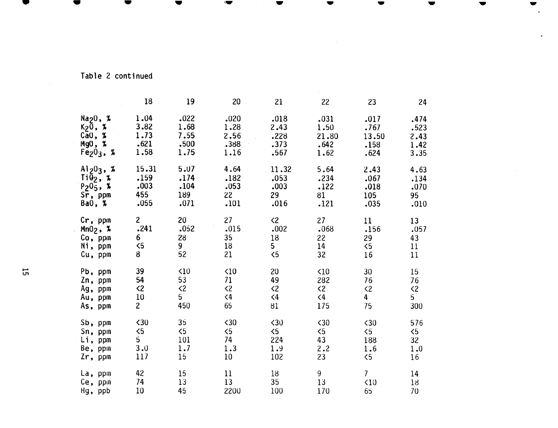## Table 2 continued

| .474<br>.523<br>2.43<br>1.42<br>3.35<br>4.63<br>.134 |
|------------------------------------------------------|
|                                                      |
|                                                      |
|                                                      |
|                                                      |
|                                                      |
|                                                      |
|                                                      |
| .070                                                 |
| 95                                                   |
| .010                                                 |
| 13                                                   |
| .057                                                 |
| 43                                                   |
| 11                                                   |
| 11                                                   |
| 15                                                   |
| 76                                                   |
| $\langle 2$                                          |
| 5 <sub>1</sub>                                       |
| 300                                                  |
| 576                                                  |
| $\overline{5}$                                       |
| 32                                                   |
| 1.0                                                  |
| 16                                                   |
| 14                                                   |
| 18                                                   |
| 70                                                   |
|                                                      |

<span id="page-17-0"></span>• • • • • • • • • • • • • • • • • •

 $\sim 10^7$ 

 $\sim 10^7$ 

 $\sim$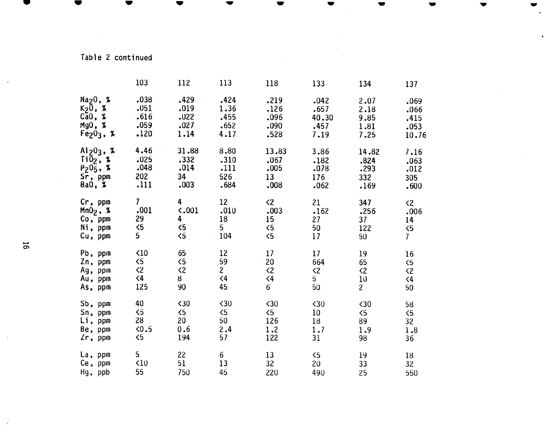## Table 2 continued

<span id="page-18-0"></span> $\bullet$   $\bullet$   $\bullet$   $\bullet$ 

|   |                               | 103                 | 112                 | 113             | 118                 | 133                 | 134                 | 137                 |
|---|-------------------------------|---------------------|---------------------|-----------------|---------------------|---------------------|---------------------|---------------------|
|   | $\texttt{Na}_2\texttt{0}$ , % | .038                | .429                | .424            | .219                | .042                | 2.07                | .069                |
|   | $K_2\overline{0}$ , %         | .051                | .019                | 1.36            | .126                | .657                | 2.18                | .066                |
|   | $C\bar{a}0$ , %               | .616                | .022                | .455            | .096                | 40.30               | 9.85                | .415                |
|   | $Mg0$ , %                     | .059                | .027                | .652            | .090                | .457                | 1.81                | .053                |
|   | $Fe203$ , %                   | .120                | 1.14                | 4.17            | .528                | 7.19                | 7.25                | 10.76               |
|   | $Al_2O_3$ , %                 | 4.46                | 31.88               | 8.80            | 13.83               | 3.86                | 14.82               | 7.16                |
|   | $\overline{110}_2$ , %        | .025                | .332                | .310            | .067                | .182                | .824                | .063                |
|   | $P_205, $ %                   | .048                | .014                | .111            | .005                | .078                | .293                | .012                |
|   | Sr, ppm                       | 202                 | 34                  | 526             | 13                  | 176                 | 332                 | 305                 |
|   | BaO, X                        | .111                | .003                | .684            | .008                | .062                | .169                | .600                |
|   | $Cr$ , ppm                    | 7 <sup>7</sup>      | 4                   | 12 <sup>2</sup> | $\langle 2 \rangle$ | 21                  | 347                 | $\langle 2 \rangle$ |
|   | $Mn02$ , %                    | .001                | $\langle .001$      | .010            | .003                | .162                | .256                | .006                |
|   | $Co$ , ppm                    | 29                  | $\overline{4}$      | 18              | 15                  | 27                  | 37 <sup>2</sup>     | 14                  |
|   | Ni, ppm                       | $\langle 5$         | 5 <sub>6</sub>      | 5 <sub>1</sub>  | $\leq$              | 50                  | 122                 | $\leq$              |
|   | Cu, ppm                       | 5 <sup>1</sup>      | $\leq$              | 104             | $\leq$              | 17                  | 50                  | 7 <sup>1</sup>      |
| 5 |                               |                     |                     |                 |                     |                     |                     |                     |
|   | Pb, ppm                       | $\triangle$ 10      | 65                  | 12              | 17                  | 17 <sub>2</sub>     | 19                  | 16                  |
|   | Zn, ppm                       | $\langle 5 \rangle$ | 5 <sub>6</sub>      | 59              | 20                  | 664                 | 65                  | $\langle 5 \rangle$ |
|   | Ag, ppm                       | $\langle 2 \rangle$ | $\langle 2 \rangle$ | $\mathbf{2}$    | $\langle 2$         | $\langle 2 \rangle$ | $\langle 2 \rangle$ | $\langle 2 \rangle$ |
|   | Au, ppm                       | $\langle 4 \rangle$ | 8                   | $\langle 4$     | $\leq 4$            | 5                   | 10                  | $\langle 4$         |
|   | As, ppm                       | 125                 | 90                  | 45              | 6                   | 50                  | 2 <sup>1</sup>      | 50                  |
|   | Sb, ppm                       | 40                  | $30$                | $\langle 30$    | $\langle 30$        | $30$                | $\langle 30$        | 58                  |
|   | Sn, ppm                       | 5 <sub>o</sub>      | $\langle 5 \rangle$ | $\leq$          | $\langle 5 \rangle$ | 10 <sub>1</sub>     | 5 <sub>6</sub>      | $\langle 5$         |
|   | $Li$ , ppm                    | 28                  | 20                  | 50              | 126                 | 18                  | 89                  | 32                  |
|   | Be, ppm                       | 5.6                 | 0.6                 | 2.4             | 1.2                 | 1.7                 | 1.9                 | 1.8                 |
|   | $2r$ , ppm                    | $\leq$              | 194                 | 57              | 122                 | 31                  | 98                  | 36                  |
|   | La, ppm                       | 5 <sub>1</sub>      | 22                  | 6 <sup>1</sup>  | 13                  | $\langle 5 \rangle$ | 19                  | 18                  |
|   | Ce, ppm                       | $\triangle$ 10      | 51                  | 13              | 32                  | 20                  | 33                  | 32                  |
|   | Hg, ppb                       | 55                  | 750                 | 45              | 220                 | 490                 | 25                  | 550                 |
|   |                               |                     |                     |                 |                     |                     |                     |                     |

-

 $\overline{ }$ 

 $\mathcal{A}$ 

Å,

 $\overline{\phantom{a}}$